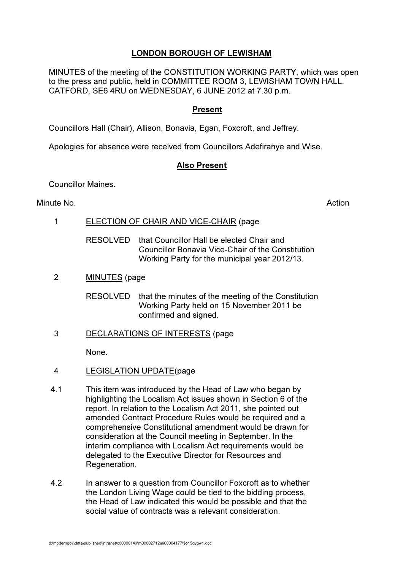# LONDON BOROUGH OF LEWISHAM

MINUTES of the meeting of the CONSTITUTION WORKING PARTY, which was open to the press and public, held in COMMITTEE ROOM 3, LEWISHAM TOWN HALL, CATFORD, SE6 4RU on WEDNESDAY, 6 JUNE 2012 at 7.30 p.m.

## Present

Councillors Hall (Chair), Allison, Bonavia, Egan, Foxcroft, and Jeffrey.

Apologies for absence were received from Councillors Adefiranye and Wise.

## Also Present

Councillor Maines.

#### Minute No. **Action**

- 1 ELECTION OF CHAIR AND VICE-CHAIR (page
	- RESOLVED that Councillor Hall be elected Chair and Councillor Bonavia Vice-Chair of the Constitution Working Party for the municipal year 2012/13.
- 2 MINUTES (page

RESOLVED that the minutes of the meeting of the Constitution Working Party held on 15 November 2011 be confirmed and signed.

3 DECLARATIONS OF INTERESTS (page

None.

- 4 LEGISLATION UPDATE(page
- 4.1 This item was introduced by the Head of Law who began by highlighting the Localism Act issues shown in Section 6 of the report. In relation to the Localism Act 2011, she pointed out amended Contract Procedure Rules would be required and a comprehensive Constitutional amendment would be drawn for consideration at the Council meeting in September. In the interim compliance with Localism Act requirements would be delegated to the Executive Director for Resources and Regeneration.
- 4.2 In answer to a question from Councillor Foxcroft as to whether the London Living Wage could be tied to the bidding process, the Head of Law indicated this would be possible and that the social value of contracts was a relevant consideration.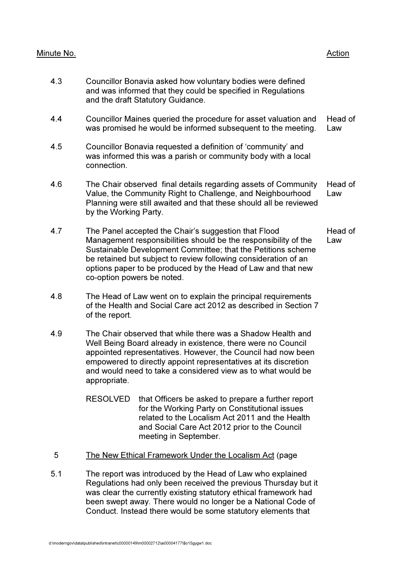## Minute No. **Action**

- 4.3 Councillor Bonavia asked how voluntary bodies were defined and was informed that they could be specified in Regulations and the draft Statutory Guidance.
- 4.4 Councillor Maines queried the procedure for asset valuation and was promised he would be informed subsequent to the meeting. Head of Law
- 4.5 Councillor Bonavia requested a definition of 'community' and was informed this was a parish or community body with a local connection.
- 4.6 The Chair observed final details regarding assets of Community Value, the Community Right to Challenge, and Neighbourhood Planning were still awaited and that these should all be reviewed by the Working Party. Head of Law
- 4.7 The Panel accepted the Chair's suggestion that Flood Management responsibilities should be the responsibility of the Sustainable Development Committee; that the Petitions scheme be retained but subject to review following consideration of an options paper to be produced by the Head of Law and that new co-option powers be noted. Head of Law
- 4.8 The Head of Law went on to explain the principal requirements of the Health and Social Care act 2012 as described in Section 7 of the report.
- 4.9 The Chair observed that while there was a Shadow Health and Well Being Board already in existence, there were no Council appointed representatives. However, the Council had now been empowered to directly appoint representatives at its discretion and would need to take a considered view as to what would be appropriate.
	- RESOLVED that Officers be asked to prepare a further report for the Working Party on Constitutional issues related to the Localism Act 2011 and the Health and Social Care Act 2012 prior to the Council meeting in September.
- 5 The New Ethical Framework Under the Localism Act (page
- 5.1 The report was introduced by the Head of Law who explained Regulations had only been received the previous Thursday but it was clear the currently existing statutory ethical framework had been swept away. There would no longer be a National Code of Conduct. Instead there would be some statutory elements that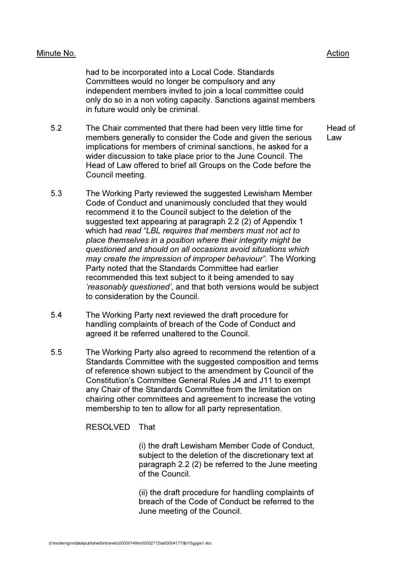had to be incorporated into a Local Code. Standards Committees would no longer be compulsory and any independent members invited to join a local committee could only do so in a non voting capacity. Sanctions against members in future would only be criminal.

- 5.2 The Chair commented that there had been very little time for members generally to consider the Code and given the serious implications for members of criminal sanctions, he asked for a wider discussion to take place prior to the June Council. The Head of Law offered to brief all Groups on the Code before the Council meeting. Head of Law
- 5.3 The Working Party reviewed the suggested Lewisham Member Code of Conduct and unanimously concluded that they would recommend it to the Council subject to the deletion of the suggested text appearing at paragraph 2.2 (2) of Appendix 1 which had read "LBL requires that members must not act to place themselves in a position where their integrity might be questioned and should on all occasions avoid situations which may create the impression of improper behaviour". The Working Party noted that the Standards Committee had earlier recommended this text subject to it being amended to say 'reasonably questioned', and that both versions would be subject to consideration by the Council.
- 5.4 The Working Party next reviewed the draft procedure for handling complaints of breach of the Code of Conduct and agreed it be referred unaltered to the Council.
- 5.5 The Working Party also agreed to recommend the retention of a Standards Committee with the suggested composition and terms of reference shown subject to the amendment by Council of the Constitution's Committee General Rules J4 and J11 to exempt any Chair of the Standards Committee from the limitation on chairing other committees and agreement to increase the voting membership to ten to allow for all party representation.

RESOLVED That

 (i) the draft Lewisham Member Code of Conduct, subject to the deletion of the discretionary text at paragraph 2.2 (2) be referred to the June meeting of the Council.

 (ii) the draft procedure for handling complaints of breach of the Code of Conduct be referred to the June meeting of the Council.